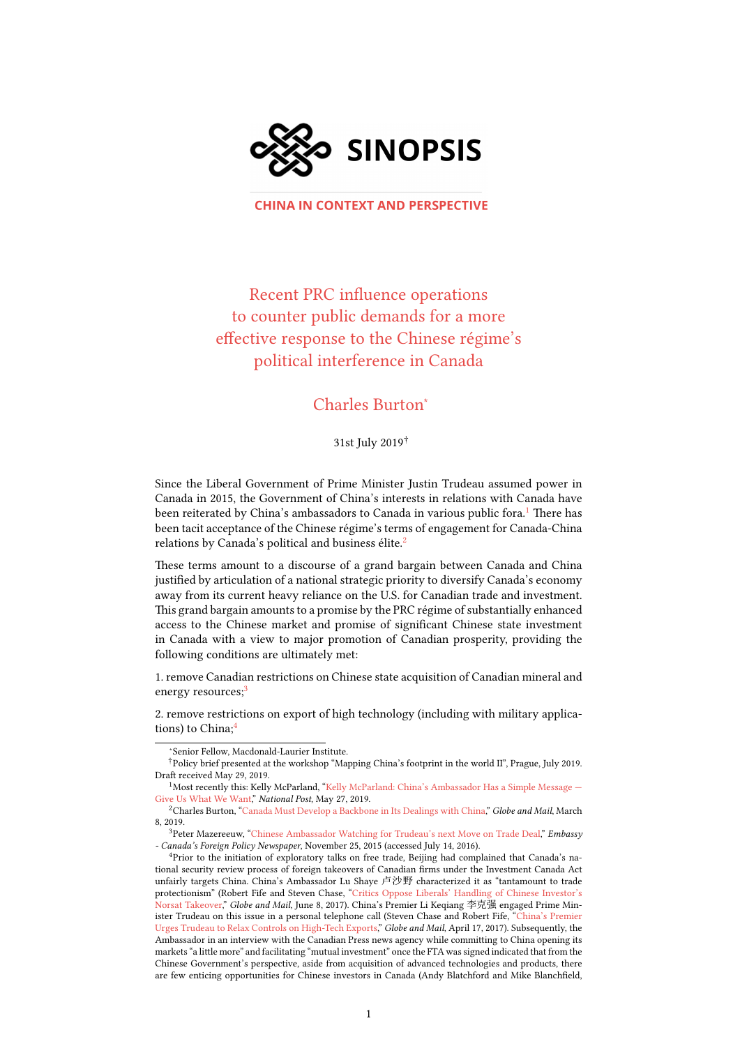

**CHINA IN CONTEXT AND PERSPECTIVE** 

Recent PRC influence operations to counter public demands for a more effective response to the Chinese régime's political interference in Canada

## Charles Burton<sup>∗</sup>

31st July 2019†

Since the Liberal Government of Prime Minister Justin Trudeau assumed power in Canada in 2015, the Government of China's interests in relations with Canada have been reiterated by China's ambassadors to Canada in various public fora.<sup>[1](#page-0-0)</sup> There has been tacit acceptance of the Chinese régime's terms of engagement for Canada-China relations by Canada's political and business élite.<sup>[2](#page-0-1)</sup>

These terms amount to a discourse of a grand bargain between Canada and China justified by articulation of a national strategic priority to diversify Canada's economy away from its current heavy reliance on the U.S. for Canadian trade and investment. This grand bargain amounts to a promise by the PRC régime of substantially enhanced access to the Chinese market and promise of significant Chinese state investment in Canada with a view to major promotion of Canadian prosperity, providing the following conditions are ultimately met:

1. remove Canadian restrictions on Chinese state acquisition of Canadian mineral and energy resources;<sup>[3](#page-0-2)</sup>

2. remove restrictions on export of high technology (including with military applica-tions) to China:<sup>[4](#page-0-3)</sup>

<span id="page-0-1"></span> $^{2}$ CharlesBurton, "[Canada Must Develop a Backbone in Its Dealings with China,](https://www.theglobeandmail.com/opinion/article-canada-must-develop-a-backbone-in-its-dealings-with-china/)" Globe and Mail, March 8, 2019.

<span id="page-0-2"></span><sup>3</sup>Peter Mazereeuw, ["Chinese Ambassador Watching for Trudeau's next Move on Trade Deal,](http://www.embassynews.ca/news/2015/11/25/Chinese-ambassador-watching-for-Trudeau-next-move-on-trade-deal/47924)" Embassy - Canada's Foreign Policy Newspaper, November 25, 2015 (accessed July 14, 2016).

<sup>∗</sup>Senior Fellow, Macdonald-Laurier Institute.

<sup>†</sup>Policy brief presented at the workshop "Mapping China's footprint in the world II", Prague, July 2019. Draft received May 29, 2019.

<span id="page-0-0"></span><sup>&</sup>lt;sup>1</sup>Most recently this: Kelly McParland, "Kelly McParland: China's Ambassador Has a Simple Message -[Give Us What We Want](https://nationalpost.com/opinion/kelly-mcparland-chinas-ambassador-has-a-simple-message-give-us-what-we-want)," National Post, May 27, 2019.

<span id="page-0-3"></span><sup>&</sup>lt;sup>4</sup>Prior to the initiation of exploratory talks on free trade, Beijing had complained that Canada's national security review process of foreign takeovers of Canadian firms under the Investment Canada Act unfairly targets China. China's Ambassador Lu Shaye 卢沙野 characterized it as "tantamount to trade protectionism" (Robert Fife and Steven Chase, ["Critics Oppose Liberals' Handling of Chinese Investor's](https://www.theglobeandmail.com/news/politics/critics-oppose-liberals-handling-of-norsat-takeover/article35258716/) [Norsat Takeover,](https://www.theglobeandmail.com/news/politics/critics-oppose-liberals-handling-of-norsat-takeover/article35258716/)" Globe and Mail, June 8, 2017). China's Premier Li Keqiang 李克强 engaged Prime Minister Trudeau on this issue in a personal telephone call (Steven Chase and Robert Fife, ["China's Premier](https://www.theglobeandmail.com/news/politics/chinas-premier-urges-trudeau-to-relax-controls-on-high-tech-exports/article34746356/) [Urges Trudeau to Relax Controls on High-Tech Exports,](https://www.theglobeandmail.com/news/politics/chinas-premier-urges-trudeau-to-relax-controls-on-high-tech-exports/article34746356/)" Globe and Mail, April 17, 2017). Subsequently, the Ambassador in an interview with the Canadian Press news agency while committing to China opening its markets "a little more" and facilitating "mutual investment" once the FTA was signed indicated that from the Chinese Government's perspective, aside from acquisition of advanced technologies and products, there are few enticing opportunities for Chinese investors in Canada (Andy Blatchford and Mike Blanchfield,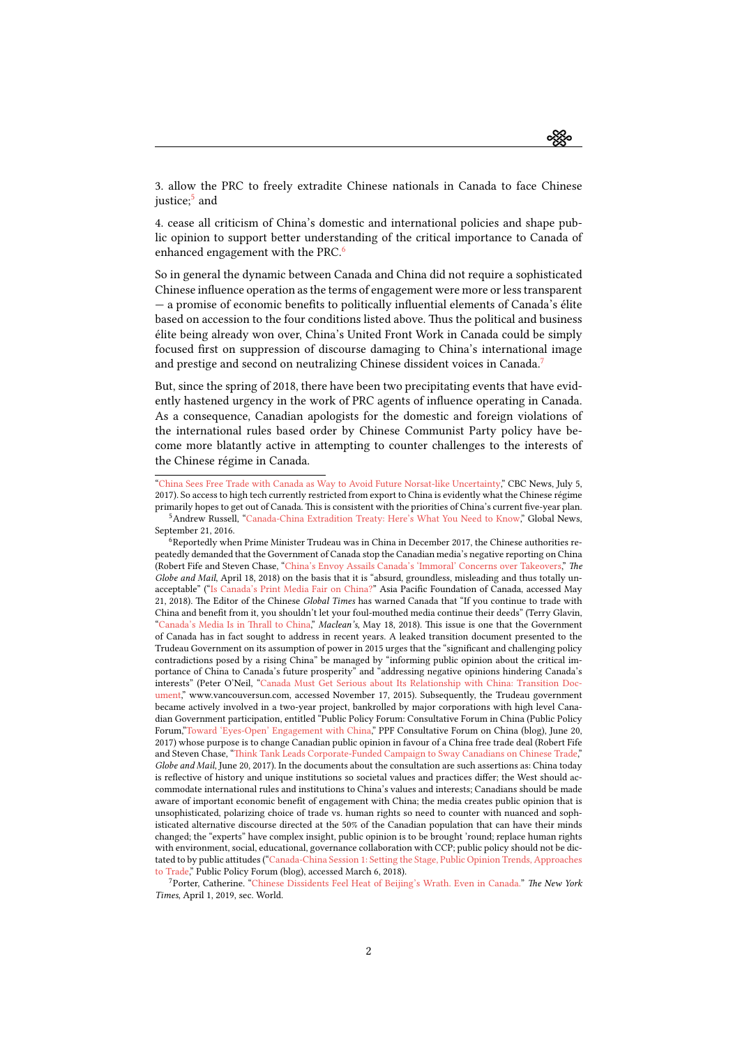3. allow the PRC to freely extradite Chinese nationals in Canada to face Chinese justice;<sup>[5](#page-1-0)</sup> and

4. cease all criticism of China's domestic and international policies and shape public opinion to support better understanding of the critical importance to Canada of enhanced engagement with the PRC.<sup>[6](#page-1-1)</sup>

So in general the dynamic between Canada and China did not require a sophisticated Chinese influence operation as the terms of engagement were more or less transparent — a promise of economic benefits to politically influential elements of Canada's élite based on accession to the four conditions listed above. Thus the political and business élite being already won over, China's United Front Work in Canada could be simply focused first on suppression of discourse damaging to China's international image and prestige and second on neutralizing Chinese dissident voices in Canada.<sup>[7](#page-1-2)</sup>

But, since the spring of 2018, there have been two precipitating events that have evidently hastened urgency in the work of PRC agents of influence operating in Canada. As a consequence, Canadian apologists for the domestic and foreign violations of the international rules based order by Chinese Communist Party policy have become more blatantly active in attempting to counter challenges to the interests of the Chinese régime in Canada.

<sup>&</sup>quot;[China Sees Free Trade with Canada as Way to Avoid Future Norsat-like Uncertainty,](http://www.cbc.ca/news/politics/china-norsat-free-trade-canada-1.4190712)" CBC News, July 5, 2017). So access to high tech currently restricted from export to China is evidently what the Chinese régime primarily hopes to get out of Canada. This is consistent with the priorities of China's current five-year plan.

<span id="page-1-0"></span><sup>5</sup>Andrew Russell, ["Canada-China Extradition Treaty: Here's What You Need to Know,](https://globalnews.ca/news/2953881/canada-china-extradition-treaty-heres-what-you-need-to-know/)" Global News, September 21, 2016.

<span id="page-1-1"></span><sup>6</sup>Reportedly when Prime Minister Trudeau was in China in December 2017, the Chinese authorities repeatedly demanded that the Government of Canada stop the Canadian media's negative reporting on China (Robert Fife and Steven Chase, ["China's Envoy Assails Canada's 'Immoral' Concerns over Takeovers,](https://www.theglobeandmail.com/politics/article-chinas-envoy-assails-canadas-concerns-over-state-owned-takeovers/)" The Globe and Mail, April 18, 2018) on the basis that it is "absurd, groundless, misleading and thus totally unacceptable" (["Is Canada's Print Media Fair on China?](https://www.asiapacific.ca/canada-asia-agenda/canadas-print-media-fair-china)" Asia Pacific Foundation of Canada, accessed May 21, 2018). The Editor of the Chinese Global Times has warned Canada that "If you continue to trade with China and benefit from it, you shouldn't let your foul-mouthed media continue their deeds" (Terry Glavin, "[Canada's Media Is in Thrall to China,](https://www.macleans.ca/politics/worldpolitics/canadas-media-is-in-thrall-to-china/)" Maclean's, May 18, 2018). This issue is one that the Government of Canada has in fact sought to address in recent years. A leaked transition document presented to the Trudeau Government on its assumption of power in 2015 urges that the "significant and challenging policy contradictions posed by a rising China" be managed by "informing public opinion about the critical importance of China to Canada's future prosperity" and "addressing negative opinions hindering Canada's interests" (Peter O'Neil,"[Canada Must Get Serious about Its Relationship with China: Transition Doc](http://www.vancouversun.com/news/canada+must+serious+about+relationship+with+china+transition+document/11407131/story.html)[ument,](http://www.vancouversun.com/news/canada+must+serious+about+relationship+with+china+transition+document/11407131/story.html)" www.vancouversun.com, accessed November 17, 2015). Subsequently, the Trudeau government became actively involved in a two-year project, bankrolled by major corporations with high level Canadian Government participation, entitled "Public Policy Forum: Consultative Forum in China (Public Policy Forum,"[Toward 'Eyes-Open' Engagement with China,](https://medium.com/ppf-consultative-forum-on-china/towards-eyes-open-engagement-1a7e116c1672)" PPF Consultative Forum on China (blog), June 20, 2017) whose purpose is to change Canadian public opinion in favour of a China free trade deal (Robert Fife and Steven Chase, ["Think Tank Leads Corporate-Funded Campaign to Sway Canadians on Chinese Trade,](https://www.theglobeandmail.com/news/politics/think-tank-leads-corporate-funded-campaign-to-sway-canadians-on-chinese-trade/article35406698/)" Globe and Mail, June 20, 2017). In the documents about the consultation are such assertions as: China today is reflective of history and unique institutions so societal values and practices differ; the West should accommodate international rules and institutions to China's values and interests; Canadians should be made aware of important economic benefit of engagement with China; the media creates public opinion that is unsophisticated, polarizing choice of trade vs. human rights so need to counter with nuanced and sophisticated alternative discourse directed at the 50% of the Canadian population that can have their minds changed; the "experts" have complex insight, public opinion is to be brought 'round; replace human rights with environment, social, educational, governance collaboration with CCP; public policy should not be dictated to by public attitudes ("[Canada-China Session 1: Setting the Stage, Public Opinion Trends, Approaches](https://www.ppforum.ca/articles/session-1-recap-setting-the-stage-opinion-trends-trade/) [to Trade](https://www.ppforum.ca/articles/session-1-recap-setting-the-stage-opinion-trends-trade/)," Public Policy Forum (blog), accessed March 6, 2018).

<span id="page-1-2"></span><sup>7</sup>Porter, Catherine."[Chinese Dissidents Feel Heat of Beijing's Wrath. Even in Canada.](https://www.nytimes.com/2019/04/01/world/canada/china-dissident-harassment-sheng-xue.html)" The New York Times, April 1, 2019, sec. World.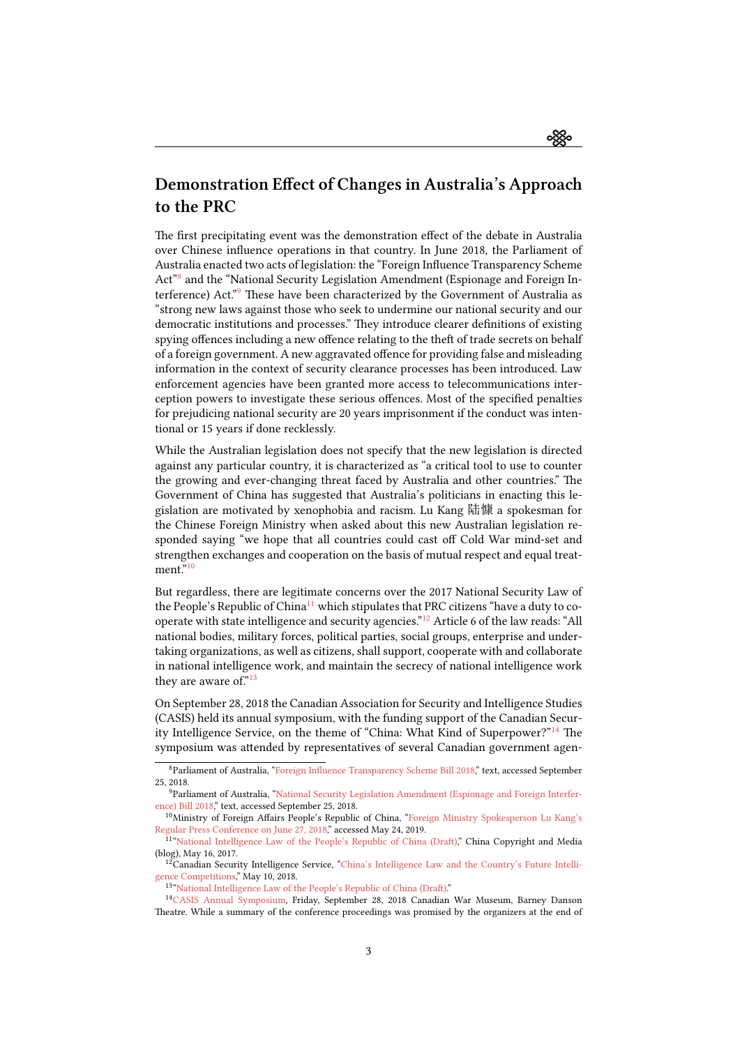ઌૺૹૢૺૺૺૺૺૺૺૺૺ

## Demonstration Effect of Changes in Australia's Approach to the PRC

The first precipitating event was the demonstration effect of the debate in Australia over Chinese influence operations in that country. In June 2018, the Parliament of Australia enacted two acts of legislation: the "Foreign Influence Transparency Scheme Act<sup>"[8](#page-2-0)</sup> and the "National Security Legislation Amendment (Espionage and Foreign Interference) Act."[9](#page-2-1) These have been characterized by the Government of Australia as "strong new laws against those who seek to undermine our national security and our democratic institutions and processes." They introduce clearer definitions of existing spying offences including a new offence relating to the theft of trade secrets on behalf of a foreign government. A new aggravated offence for providing false and misleading information in the context of security clearance processes has been introduced. Law enforcement agencies have been granted more access to telecommunications interception powers to investigate these serious offences. Most of the specified penalties for prejudicing national security are 20 years imprisonment if the conduct was intentional or 15 years if done recklessly.

While the Australian legislation does not specify that the new legislation is directed against any particular country, it is characterized as "a critical tool to use to counter the growing and ever-changing threat faced by Australia and other countries." The Government of China has suggested that Australia's politicians in enacting this legislation are motivated by xenophobia and racism. Lu Kang 陆慷 a spokesman for the Chinese Foreign Ministry when asked about this new Australian legislation responded saying "we hope that all countries could cast off Cold War mind-set and strengthen exchanges and cooperation on the basis of mutual respect and equal treat-ment."<sup>[10](#page-2-2)</sup>

But regardless, there are legitimate concerns over the 2017 National Security Law of the People's Republic of China<sup>[11](#page-2-3)</sup> which stipulates that PRC citizens "have a duty to cooperate with state intelligence and security agencies."[12](#page-2-4) Article 6 of the law reads: "All national bodies, military forces, political parties, social groups, enterprise and undertaking organizations, as well as citizens, shall support, cooperate with and collaborate in national intelligence work, and maintain the secrecy of national intelligence work they are aware of. $n^{13}$  $n^{13}$  $n^{13}$ 

On September 28, 2018 the Canadian Association for Security and Intelligence Studies (CASIS) held its annual symposium, with the funding support of the Canadian Security Intelligence Service, on the theme of "China: What Kind of Superpower?"[14](#page-2-6) The symposium was attended by representatives of several Canadian government agen-

<span id="page-2-0"></span><sup>8</sup>Parliament of Australia,"[Foreign Influence Transparency Scheme Bill 2018](https://www.aph.gov.au/Parliamentary_Business/Bills_Legislation/Bills_Search_Results/Result?bId=r6018)," text, accessed September 25, 2018.

<span id="page-2-1"></span><sup>9</sup>Parliament of Australia, ["National Security Legislation Amendment \(Espionage and Foreign Interfer](https://www.aph.gov.au/Parliamentary_Business/Bills_Legislation/Bills_Search_Results/Result?bId=r6022)[ence\) Bill 2018,](https://www.aph.gov.au/Parliamentary_Business/Bills_Legislation/Bills_Search_Results/Result?bId=r6022)" text, accessed September 25, 2018.

<span id="page-2-2"></span><sup>10</sup>Ministry of Foreign Affairs People's Republic of China,"[Foreign Ministry Spokesperson Lu Kang's](http://subsites.chinadaily.com.cn/ministries/foreignaffairs/2018-06/28/c_247772.htm) [Regular Press Conference on June 27, 2018](http://subsites.chinadaily.com.cn/ministries/foreignaffairs/2018-06/28/c_247772.htm)," accessed May 24, 2019.<br><sup>11</sup> ["National Intelligence Law of the People's Republic of China \(Draft\)](https://chinacopyrightandmedia.wordpress.com/2017/05/16/national-intelligence-law-of-the-peoples-republic-of-china-draft/)," China Copyright and Media

<span id="page-2-3"></span><sup>(</sup>blog), May 16, 2017.

<span id="page-2-4"></span> $12$ Canadian Security Intelligence Service, ["China's Intelligence Law and the Country's Future Intelli](https://www.canada.ca/en/security-intelligence-service/corporate/publications/china-and-the-age-of-strategic-rivalry/chinas-intelligence-law-and-the-countrys-future-intelligence-competitions.html)[gence Competitions,](https://www.canada.ca/en/security-intelligence-service/corporate/publications/china-and-the-age-of-strategic-rivalry/chinas-intelligence-law-and-the-countrys-future-intelligence-competitions.html)" May 10, 2018.

<span id="page-2-6"></span><span id="page-2-5"></span><sup>13&</sup>quot; National Intelligence Law of the People's Republic of China (Draft)."

<sup>14</sup>[CASIS Annual Symposium,](https://casis-acers.ca/wp-content/uploads/2018/09/CASIS-Symposium-Program-September-28-2.pdf) Friday, September 28, 2018 Canadian War Museum, Barney Danson Theatre. While a summary of the conference proceedings was promised by the organizers at the end of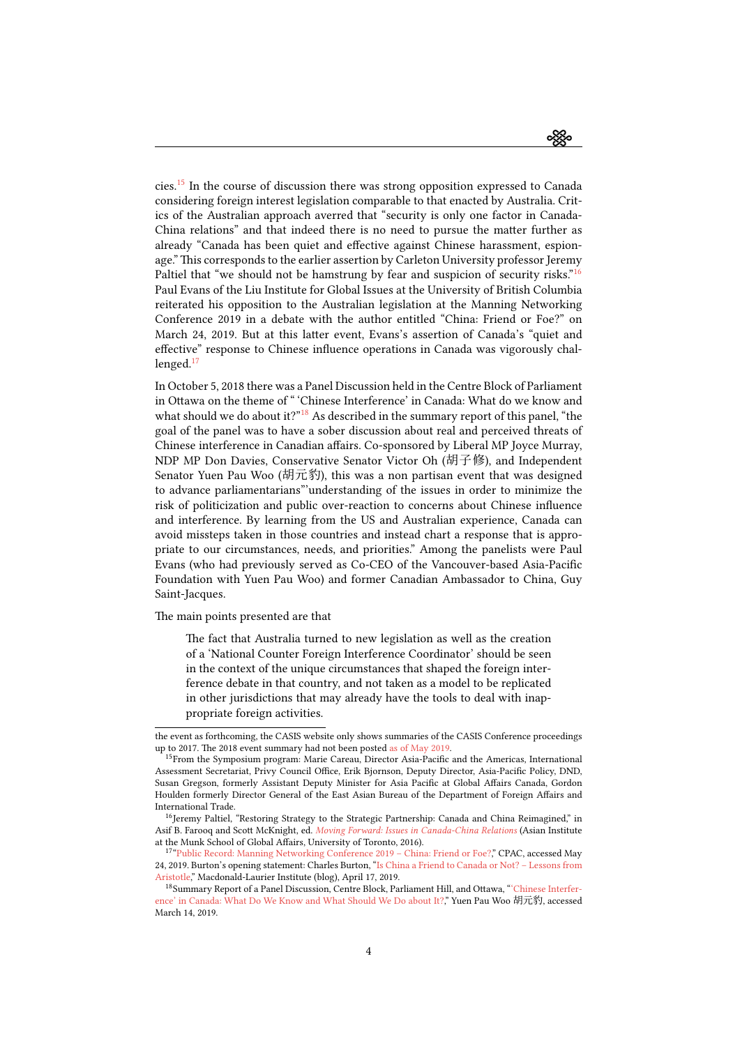ઌૣૺૹૢૺૺૺૺૺૺૺૺૺ

cies.[15](#page-3-0) In the course of discussion there was strong opposition expressed to Canada considering foreign interest legislation comparable to that enacted by Australia. Critics of the Australian approach averred that "security is only one factor in Canada-China relations" and that indeed there is no need to pursue the matter further as already "Canada has been quiet and effective against Chinese harassment, espionage." This corresponds to the earlier assertion by Carleton University professor Jeremy Paltiel that "we should not be hamstrung by fear and suspicion of security risks."<sup>[16](#page-3-1)</sup> Paul Evans of the Liu Institute for Global Issues at the University of British Columbia reiterated his opposition to the Australian legislation at the Manning Networking Conference 2019 in a debate with the author entitled "China: Friend or Foe?" on March 24, 2019. But at this latter event, Evans's assertion of Canada's "quiet and effective" response to Chinese influence operations in Canada was vigorously challenged. $17$ 

In October 5, 2018 there was a Panel Discussion held in the Centre Block of Parliament in Ottawa on the theme of " 'Chinese Interference' in Canada: What do we know and what should we do about it?"<sup>[18](#page-3-3)</sup> As described in the summary report of this panel, "the goal of the panel was to have a sober discussion about real and perceived threats of Chinese interference in Canadian affairs. Co-sponsored by Liberal MP Joyce Murray, NDP MP Don Davies, Conservative Senator Victor Oh (胡子修), and Independent Senator Yuen Pau Woo (胡元豹), this was a non partisan event that was designed to advance parliamentarians"'understanding of the issues in order to minimize the risk of politicization and public over-reaction to concerns about Chinese influence and interference. By learning from the US and Australian experience, Canada can avoid missteps taken in those countries and instead chart a response that is appropriate to our circumstances, needs, and priorities." Among the panelists were Paul Evans (who had previously served as Co-CEO of the Vancouver-based Asia-Pacific Foundation with Yuen Pau Woo) and former Canadian Ambassador to China, Guy Saint-Jacques.

The main points presented are that

The fact that Australia turned to new legislation as well as the creation of a 'National Counter Foreign Interference Coordinator' should be seen in the context of the unique circumstances that shaped the foreign interference debate in that country, and not taken as a model to be replicated in other jurisdictions that may already have the tools to deal with inappropriate foreign activities.

the event as forthcoming, the CASIS website only shows summaries of the CASIS Conference proceedings up to 2017. The 2018 event summary had not been posted [as of May 2019.](https://casis-acers.ca/sample-page/httpwww-casis-acers-causannual-symposium/resources/)

<span id="page-3-0"></span><sup>&</sup>lt;sup>15</sup>From the Symposium program: Marie Careau, Director Asia-Pacific and the Americas, International Assessment Secretariat, Privy Council Office, Erik Bjornson, Deputy Director, Asia-Pacific Policy, DND, Susan Gregson, formerly Assistant Deputy Minister for Asia Pacific at Global Affairs Canada, Gordon Houlden formerly Director General of the East Asian Bureau of the Department of Foreign Affairs and International Trade.

<span id="page-3-1"></span><sup>&</sup>lt;sup>16</sup>Jeremy Paltiel, "Restoring Strategy to the Strategic Partnership: Canada and China Reimagined," in Asif B. Farooq and Scott McKnight, ed. [Moving Forward: Issues in Canada-China Relations](https://munkschool.utoronto.ca/ai/files/2016/02/Moving_Forward_Farooq_McKnight.pdf) (Asian Institute at the Munk School of Global Affairs, University of Toronto, 2016).

<span id="page-3-2"></span><sup>17&</sup>quot;Public Record: Manning Networking Conference 2019 - China: Friend or Foe?," CPAC, accessed May 24, 2019. Burton's opening statement: Charles Burton, ["Is China a Friend to Canada or Not? – Lessons from](https://www.macdonaldlaurier.ca/china-friend-canada-not-lessons-aristotle-charles-burton-inside-policy/) [Aristotle](https://www.macdonaldlaurier.ca/china-friend-canada-not-lessons-aristotle-charles-burton-inside-policy/)," Macdonald-Laurier Institute (blog), April 17, 2019.

<span id="page-3-3"></span><sup>18</sup>Summary Report of a Panel Discussion, Centre Block, Parliament Hill, and Ottawa, ["'Chinese Interfer](http://www.senatoryuenpauwoo.ca/uploads/3/9/0/1/39018137/chineseinterferencesummaryreportoct15.pdf)[ence' in Canada: What Do We Know and What Should We Do about It?](http://www.senatoryuenpauwoo.ca/uploads/3/9/0/1/39018137/chineseinterferencesummaryreportoct15.pdf)," Yuen Pau Woo 胡元豹, accessed March 14, 2019.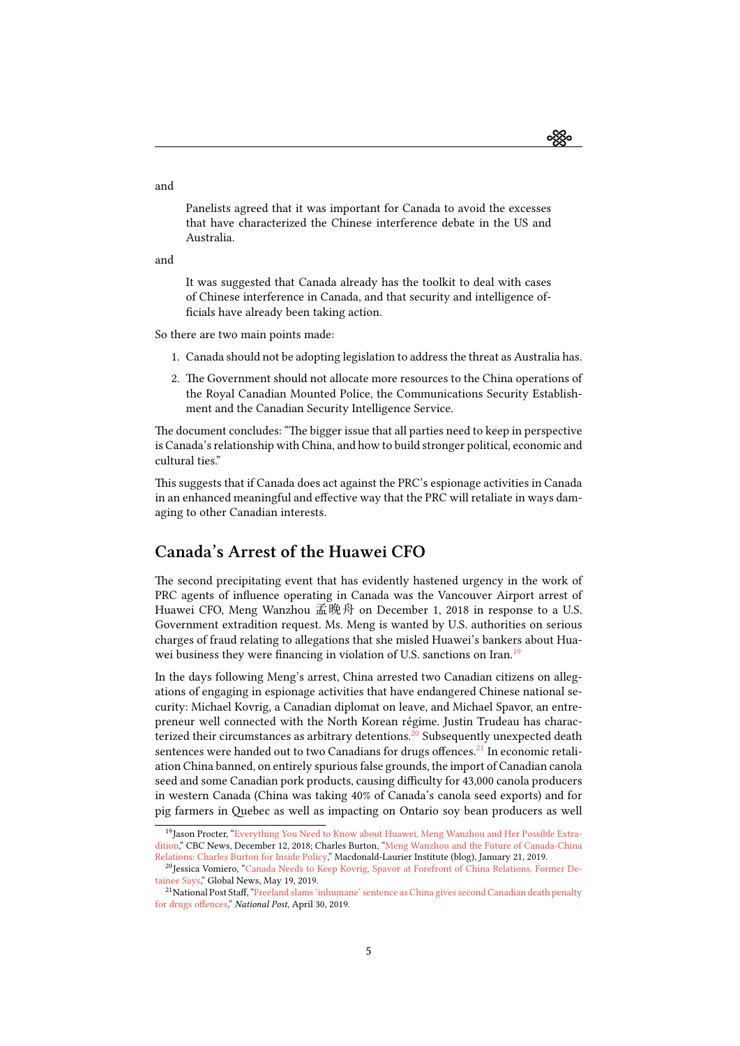ઌૣૹૢૺૺૺૺૺૺૺૺ

Panelists agreed that it was important for Canada to avoid the excesses that have characterized the Chinese interference debate in the US and Australia.

and

It was suggested that Canada already has the toolkit to deal with cases of Chinese interference in Canada, and that security and intelligence officials have already been taking action.

So there are two main points made:

- 1. Canada should not be adopting legislation to address the threat as Australia has.
- 2. The Government should not allocate more resources to the China operations of the Royal Canadian Mounted Police, the Communications Security Establishment and the Canadian Security Intelligence Service.

The document concludes: "The bigger issue that all parties need to keep in perspective is Canada's relationship with China, and how to build stronger political, economic and cultural ties."

This suggests that if Canada does act against the PRC's espionage activities in Canada in an enhanced meaningful and effective way that the PRC will retaliate in ways damaging to other Canadian interests.

## Canada's Arrest of the Huawei CFO

The second precipitating event that has evidently hastened urgency in the work of PRC agents of influence operating in Canada was the Vancouver Airport arrest of Huawei CFO, Meng Wanzhou 孟晚舟 on December 1, 2018 in response to a U.S. Government extradition request. Ms. Meng is wanted by U.S. authorities on serious charges of fraud relating to allegations that she misled Huawei's bankers about Hua-wei business they were financing in violation of U.S. sanctions on Iran.<sup>[19](#page-4-0)</sup>

In the days following Meng's arrest, China arrested two Canadian citizens on allegations of engaging in espionage activities that have endangered Chinese national security: Michael Kovrig, a Canadian diplomat on leave, and Michael Spavor, an entrepreneur well connected with the North Korean régime. Justin Trudeau has charac-terized their circumstances as arbitrary detentions.<sup>[20](#page-4-1)</sup> Subsequently unexpected death sentences were handed out to two Canadians for drugs offences.<sup>[21](#page-4-2)</sup> In economic retaliation China banned, on entirely spurious false grounds, the import of Canadian canola seed and some Canadian pork products, causing difficulty for 43,000 canola producers in western Canada (China was taking 40% of Canada's canola seed exports) and for pig farmers in Quebec as well as impacting on Ontario soy bean producers as well

and

<span id="page-4-0"></span><sup>&</sup>lt;sup>19</sup>JasonProcter, "[Everything You Need to Know about Huawei, Meng Wanzhou and Her Possible Extra](https://www.cbc.ca/news/canada/british-columbia/huawei-meng-extradition-questions-fraud-1.4943162)[dition](https://www.cbc.ca/news/canada/british-columbia/huawei-meng-extradition-questions-fraud-1.4943162)," CBC News, December 12, 2018; Charles Burton, ["Meng Wanzhou and the Future of Canada-China](https://www.macdonaldlaurier.ca/meng-wanzhou-future-canada-china-relations-charles-burton-inside-policy/) [Relations: Charles Burton for Inside Policy](https://www.macdonaldlaurier.ca/meng-wanzhou-future-canada-china-relations-charles-burton-inside-policy/)," Macdonald-Laurier Institute (blog), January 21, 2019.

<span id="page-4-1"></span><sup>&</sup>lt;sup>20</sup> Jessica Vomiero, ["Canada Needs to Keep Kovrig, Spavor at Forefront of China Relations, Former De](https://globalnews.ca/news/5292154/canadian-man-detained-china-kovrig-spavor/)[tainee Says](https://globalnews.ca/news/5292154/canadian-man-detained-china-kovrig-spavor/)," Global News, May 19, 2019.

<span id="page-4-2"></span><sup>21</sup>National Post Staff,"[Freeland slams 'inhumane' sentence as China gives second Canadian death penalty](https://nationalpost.com/news/world/second-canadian-sentenced-to-death-in-china-for-drugs-offences) [for drugs offences](https://nationalpost.com/news/world/second-canadian-sentenced-to-death-in-china-for-drugs-offences)," National Post, April 30, 2019.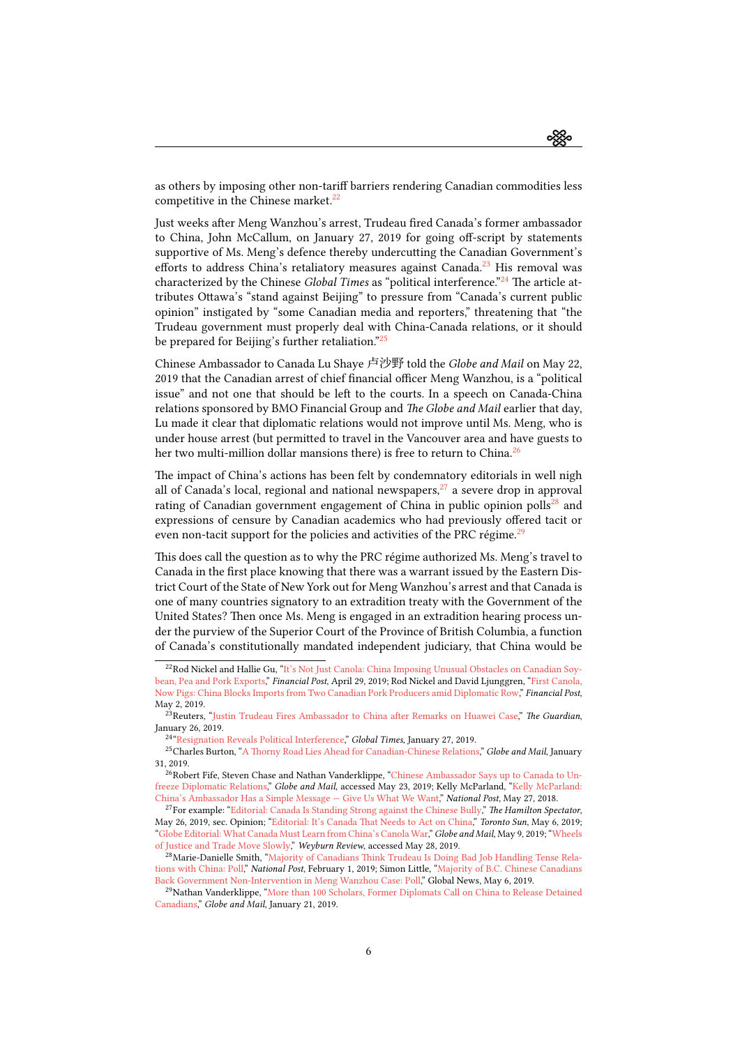ઌૣૹૢૺૺૺૺૺૺૺૺ

as others by imposing other non-tariff barriers rendering Canadian commodities less competitive in the Chinese market.<sup>[22](#page-5-0)</sup>

Just weeks after Meng Wanzhou's arrest, Trudeau fired Canada's former ambassador to China, John McCallum, on January 27, 2019 for going off-script by statements supportive of Ms. Meng's defence thereby undercutting the Canadian Government's efforts to address China's retaliatory measures against Canada.<sup>[23](#page-5-1)</sup> His removal was characterized by the Chinese *Global Times* as "political interference."<sup>[24](#page-5-2)</sup> The article attributes Ottawa's "stand against Beijing" to pressure from "Canada's current public opinion" instigated by "some Canadian media and reporters," threatening that "the Trudeau government must properly deal with China-Canada relations, or it should be prepared for Beijing's further retaliation."<sup>[25](#page-5-3)</sup>

Chinese Ambassador to Canada Lu Shaye 卢沙野 told the Globe and Mail on May 22, 2019 that the Canadian arrest of chief financial officer Meng Wanzhou, is a "political issue" and not one that should be left to the courts. In a speech on Canada-China relations sponsored by BMO Financial Group and The Globe and Mail earlier that day, Lu made it clear that diplomatic relations would not improve until Ms. Meng, who is under house arrest (but permitted to travel in the Vancouver area and have guests to her two multi-million dollar mansions there) is free to return to China.<sup>[26](#page-5-4)</sup>

The impact of China's actions has been felt by condemnatory editorials in well nigh all of Canada's local, regional and national newspapers, $^{27}$  $^{27}$  $^{27}$  a severe drop in approval rating of Canadian government engagement of China in public opinion polls<sup>[28](#page-5-6)</sup> and expressions of censure by Canadian academics who had previously offered tacit or even non-tacit support for the policies and activities of the PRC régime.<sup>[29](#page-5-7)</sup>

This does call the question as to why the PRC régime authorized Ms. Meng's travel to Canada in the first place knowing that there was a warrant issued by the Eastern District Court of the State of New York out for Meng Wanzhou's arrest and that Canada is one of many countries signatory to an extradition treaty with the Government of the United States? Then once Ms. Meng is engaged in an extradition hearing process under the purview of the Superior Court of the Province of British Columbia, a function of Canada's constitutionally mandated independent judiciary, that China would be

<span id="page-5-0"></span><sup>&</sup>lt;sup>22</sup>Rod Nickel and Hallie Gu, ["It's Not Just Canola: China Imposing Unusual Obstacles on Canadian Soy](https://business.financialpost.com/commodities/agriculture/canadian-farm-exports-run-into-chinese-wall-amid-diplomatic-dispute)[bean, Pea and Pork Exports](https://business.financialpost.com/commodities/agriculture/canadian-farm-exports-run-into-chinese-wall-amid-diplomatic-dispute)," Financial Post, April 29, 2019; Rod Nickel and David Ljunggren, ["First Canola,](https://business.financialpost.com/commodities/agriculture/exclusive-china-blocks-imports-from-two-canadian-pork-producers-amid-diplomatic-spat) [Now Pigs: China Blocks Imports from Two Canadian Pork Producers amid Diplomatic Row,](https://business.financialpost.com/commodities/agriculture/exclusive-china-blocks-imports-from-two-canadian-pork-producers-amid-diplomatic-spat)" Financial Post, May 2, 2019.

<span id="page-5-1"></span><sup>&</sup>lt;sup>23</sup>Reuters, ["Justin Trudeau Fires Ambassador to China after Remarks on Huawei Case,](https://www.theguardian.com/world/2019/jan/26/john-mccallum-canadian-ambassador-to-china-fired-huawei)" The Guardian, January 26, 2019.

<span id="page-5-3"></span><span id="page-5-2"></span><sup>&</sup>lt;sup>24</sup> ["Resignation Reveals Political Interference](http://www.globaltimes.cn/content/1137218.shtml)," Global Times, January 27, 2019.

<sup>&</sup>lt;sup>25</sup>CharlesBurton, "[A Thorny Road Lies Ahead for Canadian-Chinese Relations,](https://www.theglobeandmail.com/opinion/article-thorny-road-lies-ahead-for-canadian-chinese-relations/)" Globe and Mail, January 31, 2019.

<span id="page-5-4"></span> $^{26}\rm{Robert}$ Fife, Steven Chase and Nathan Vanderklippe, "[Chinese Ambassador Says up to Canada to Un](https://www.theglobeandmail.com/politics/article-chinese-ambassador-says-up-to-canada-to-unfreeze-diplomatic-relations/)[freeze Diplomatic Relations,](https://www.theglobeandmail.com/politics/article-chinese-ambassador-says-up-to-canada-to-unfreeze-diplomatic-relations/)" Globe and Mail, accessed May 23, 2019; Kelly McParland, ["Kelly McParland:](https://nationalpost.com/opinion/kelly-mcparland-chinas-ambassador-has-a-simple-message-give-us-what-we-want) [China's Ambassador Has a Simple Message — Give Us What We Want](https://nationalpost.com/opinion/kelly-mcparland-chinas-ambassador-has-a-simple-message-give-us-what-we-want)," National Post, May 27, 2018.

<span id="page-5-5"></span><sup>&</sup>lt;sup>27</sup>Forexample: "[Editorial: Canada Is Standing Strong against the Chinese Bully,](https://www.thespec.com/opinion-story/9390425-editorial-canada-is-standing-strong-against-the-chinese-bully/)" The Hamilton Spectator, May26, 2019, sec. Opinion; "[Editorial: It's Canada That Needs to Act on China](https://torontosun.com/opinion/editorials/editorial-its-canada-that-needs-to-act-on-china)," Toronto Sun, May 6, 2019; "[Globe Editorial: What Canada Must Learn from China's Canola War,](https://www.theglobeandmail.com/opinion/editorials/article-what-canada-must-learn-from-chinas-canola-war/)" Globe and Mail, May 9, 2019; ["Wheels](https://www.weyburnreview.com/opinion/editorial/wheels-of-justice-and-trade-move-slowly-1.23830164) [of Justice and Trade Move Slowly,](https://www.weyburnreview.com/opinion/editorial/wheels-of-justice-and-trade-move-slowly-1.23830164)" Weyburn Review, accessed May 28, 2019.

<span id="page-5-6"></span><sup>&</sup>lt;sup>28</sup>Marie-Danielle Smith, "[Majority of Canadians Think Trudeau Is Doing Bad Job Handling Tense Rela](https://nationalpost.com/news/politics/majority-of-canadians-think-trudeau-is-doing-bad-job-handling-tense-relations-with-china-poll)[tions with China: Poll,](https://nationalpost.com/news/politics/majority-of-canadians-think-trudeau-is-doing-bad-job-handling-tense-relations-with-china-poll)" National Post, February 1, 2019; Simon Little, ["Majority of B.C. Chinese Canadians](https://globalnews.ca/news/5247629/meng-wanzhou-poll/) [Back Government Non-Intervention in Meng Wanzhou Case: Poll,](https://globalnews.ca/news/5247629/meng-wanzhou-poll/)" Global News, May 6, 2019.

<span id="page-5-7"></span><sup>&</sup>lt;sup>29</sup>Nathan Vanderklippe, ["More than 100 Scholars, Former Diplomats Call on China to Release Detained](https://www.theglobeandmail.com/world/article-more-than-100-scholars-former-diplomats-call-on-china-to-release/) [Canadians,](https://www.theglobeandmail.com/world/article-more-than-100-scholars-former-diplomats-call-on-china-to-release/)" Globe and Mail, January 21, 2019.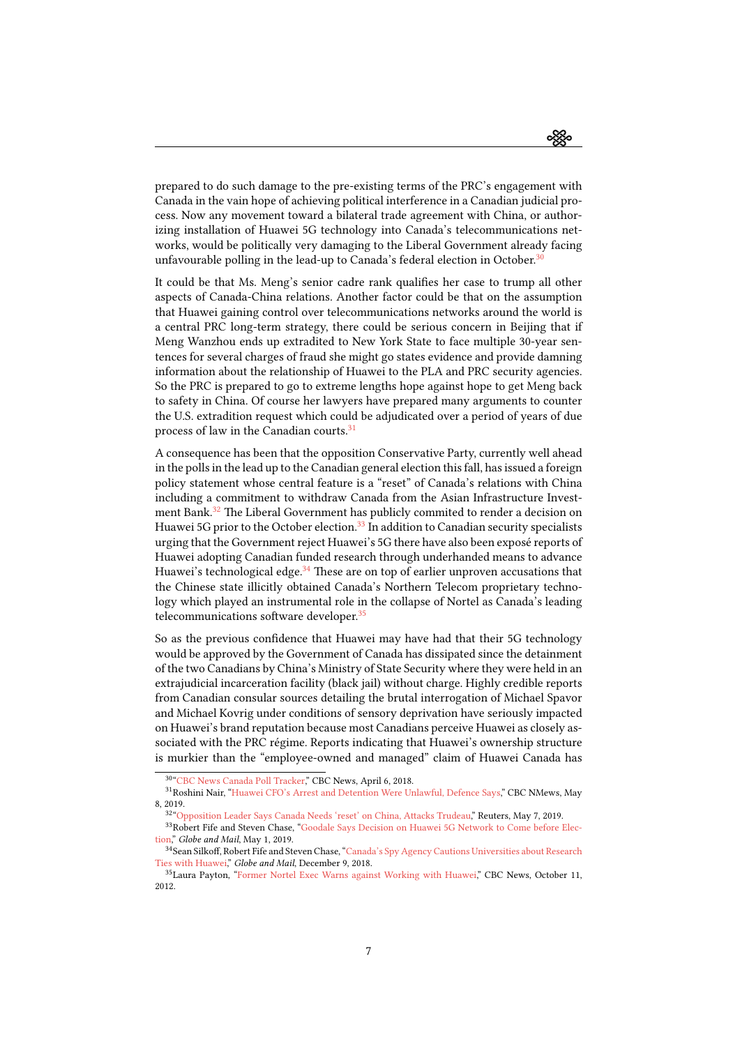

prepared to do such damage to the pre-existing terms of the PRC's engagement with Canada in the vain hope of achieving political interference in a Canadian judicial process. Now any movement toward a bilateral trade agreement with China, or authorizing installation of Huawei 5G technology into Canada's telecommunications networks, would be politically very damaging to the Liberal Government already facing unfavourable polling in the lead-up to Canada's federal election in October.<sup>[30](#page-6-0)</sup>

It could be that Ms. Meng's senior cadre rank qualifies her case to trump all other aspects of Canada-China relations. Another factor could be that on the assumption that Huawei gaining control over telecommunications networks around the world is a central PRC long-term strategy, there could be serious concern in Beijing that if Meng Wanzhou ends up extradited to New York State to face multiple 30-year sentences for several charges of fraud she might go states evidence and provide damning information about the relationship of Huawei to the PLA and PRC security agencies. So the PRC is prepared to go to extreme lengths hope against hope to get Meng back to safety in China. Of course her lawyers have prepared many arguments to counter the U.S. extradition request which could be adjudicated over a period of years of due process of law in the Canadian courts.<sup>[31](#page-6-1)</sup>

A consequence has been that the opposition Conservative Party, currently well ahead in the polls in the lead up to the Canadian general election this fall, has issued a foreign policy statement whose central feature is a "reset" of Canada's relations with China including a commitment to withdraw Canada from the Asian Infrastructure Invest-ment Bank.<sup>[32](#page-6-2)</sup> The Liberal Government has publicly commited to render a decision on Huawei 5G prior to the October election.<sup>[33](#page-6-3)</sup> In addition to Canadian security specialists urging that the Government reject Huawei's 5G there have also been exposé reports of Huawei adopting Canadian funded research through underhanded means to advance Huawei's technological edge.<sup>[34](#page-6-4)</sup> These are on top of earlier unproven accusations that the Chinese state illicitly obtained Canada's Northern Telecom proprietary technology which played an instrumental role in the collapse of Nortel as Canada's leading telecommunications software developer.<sup>[35](#page-6-5)</sup>

So as the previous confidence that Huawei may have had that their 5G technology would be approved by the Government of Canada has dissipated since the detainment of the two Canadians by China's Ministry of State Security where they were held in an extrajudicial incarceration facility (black jail) without charge. Highly credible reports from Canadian consular sources detailing the brutal interrogation of Michael Spavor and Michael Kovrig under conditions of sensory deprivation have seriously impacted on Huawei's brand reputation because most Canadians perceive Huawei as closely associated with the PRC régime. Reports indicating that Huawei's ownership structure is murkier than the "employee-owned and managed" claim of Huawei Canada has

<span id="page-6-1"></span><span id="page-6-0"></span><sup>30</sup> ["CBC News Canada Poll Tracker](https://newsinteractives.cbc.ca/elections/poll-tracker/canada)," CBC News, April 6, 2018.

<sup>31</sup>Roshini Nair, ["Huawei CFO's Arrest and Detention Were Unlawful, Defence Says,](https://www.cbc.ca/news/canada/british-columbia/meng-wanzhou-may-8-court-appearance-1.5127740)" CBC NMews, May 8, 2019.

<span id="page-6-3"></span><span id="page-6-2"></span><sup>32</sup> ["Opposition Leader Says Canada Needs 'reset' on China, Attacks Trudeau,](https://ca.reuters.com/article/topNews/idCAKCN1SD2A2-OCATP)" Reuters, May 7, 2019.

<sup>&</sup>lt;sup>33</sup>Robert Fife and Steven Chase, ["Goodale Says Decision on Huawei 5G Network to Come before Elec](https://www.theglobeandmail.com/politics/article-goodale-says-decision-on-huawei-to-come-before-election/)[tion,](https://www.theglobeandmail.com/politics/article-goodale-says-decision-on-huawei-to-come-before-election/)" Globe and Mail, May 1, 2019.

<span id="page-6-4"></span><sup>34</sup>Sean Silkoff, Robert Fife and Steven Chase, ["Canada's Spy Agency Cautions Universities about Research](https://www.theglobeandmail.com/politics/article-csis-cautions-canadian-universities-about-research-ties-with-huawei/) [Ties with Huawei,](https://www.theglobeandmail.com/politics/article-csis-cautions-canadian-universities-about-research-ties-with-huawei/)" Globe and Mail, December 9, 2018.

<span id="page-6-5"></span><sup>&</sup>lt;sup>35</sup>Laura Payton, ["Former Nortel Exec Warns against Working with Huawei,](https://www.cbc.ca/news/politics/former-nortel-exec-warns-against-working-with-huawei-1.1137006)" CBC News, October 11, 2012.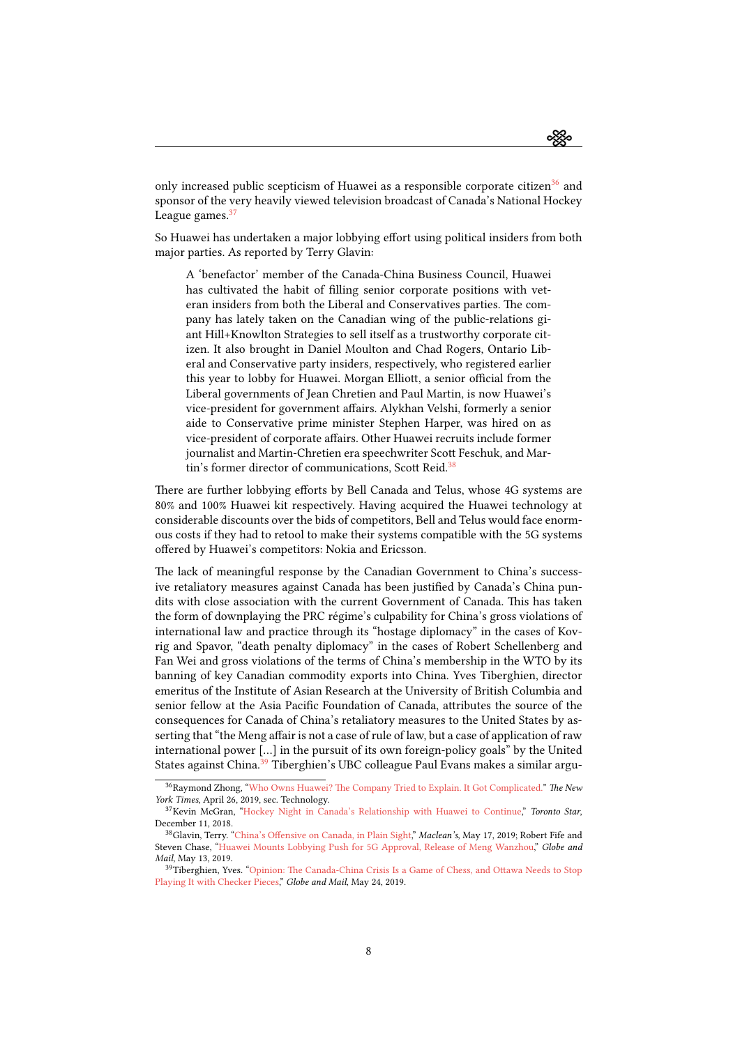ઌૣૹૢૺૺૺૺૺૺૺૺૺ

only increased public scepticism of Huawei as a responsible corporate citizen<sup>[36](#page-7-0)</sup> and sponsor of the very heavily viewed television broadcast of Canada's National Hockey League games.<sup>[37](#page-7-1)</sup>

So Huawei has undertaken a major lobbying effort using political insiders from both major parties. As reported by Terry Glavin:

A 'benefactor' member of the Canada-China Business Council, Huawei has cultivated the habit of filling senior corporate positions with veteran insiders from both the Liberal and Conservatives parties. The company has lately taken on the Canadian wing of the public-relations giant Hill+Knowlton Strategies to sell itself as a trustworthy corporate citizen. It also brought in Daniel Moulton and Chad Rogers, Ontario Liberal and Conservative party insiders, respectively, who registered earlier this year to lobby for Huawei. Morgan Elliott, a senior official from the Liberal governments of Jean Chretien and Paul Martin, is now Huawei's vice-president for government affairs. Alykhan Velshi, formerly a senior aide to Conservative prime minister Stephen Harper, was hired on as vice-president of corporate affairs. Other Huawei recruits include former journalist and Martin-Chretien era speechwriter Scott Feschuk, and Mar-tin's former director of communications, Scott Reid.<sup>[38](#page-7-2)</sup>

There are further lobbying efforts by Bell Canada and Telus, whose 4G systems are 80% and 100% Huawei kit respectively. Having acquired the Huawei technology at considerable discounts over the bids of competitors, Bell and Telus would face enormous costs if they had to retool to make their systems compatible with the 5G systems offered by Huawei's competitors: Nokia and Ericsson.

The lack of meaningful response by the Canadian Government to China's successive retaliatory measures against Canada has been justified by Canada's China pundits with close association with the current Government of Canada. This has taken the form of downplaying the PRC régime's culpability for China's gross violations of international law and practice through its "hostage diplomacy" in the cases of Kovrig and Spavor, "death penalty diplomacy" in the cases of Robert Schellenberg and Fan Wei and gross violations of the terms of China's membership in the WTO by its banning of key Canadian commodity exports into China. Yves Tiberghien, director emeritus of the Institute of Asian Research at the University of British Columbia and senior fellow at the Asia Pacific Foundation of Canada, attributes the source of the consequences for Canada of China's retaliatory measures to the United States by asserting that "the Meng affair is not a case of rule of law, but a case of application of raw international power […] in the pursuit of its own foreign-policy goals" by the United States against China.<sup>[39](#page-7-3)</sup> Tiberghien's UBC colleague Paul Evans makes a similar argu-

<span id="page-7-0"></span><sup>&</sup>lt;sup>36</sup>Raymond Zhong, ["Who Owns Huawei? The Company Tried to Explain. It Got Complicated."](https://www.nytimes.com/2019/04/25/technology/who-owns-huawei.html) The New York Times, April 26, 2019, sec. Technology.

<span id="page-7-1"></span><sup>&</sup>lt;sup>37</sup>KevinMcGran, "[Hockey Night in Canada's Relationship with Huawei to Continue,](https://www.thestar.com/sports/hockey/2018/12/11/hockey-night-in-canadas-relationship-with-huawei-to-continue.html)" Toronto Star, December 11, 2018.

<span id="page-7-2"></span><sup>&</sup>lt;sup>38</sup>Glavin,Terry. "[China's Offensive on Canada, in Plain Sight](https://www.macleans.ca/politics/ottawa/chinas-offensive-on-canada-in-plain-sight/)," Maclean's, May 17, 2019; Robert Fife and Steven Chase, ["Huawei Mounts Lobbying Push for 5G Approval, Release of Meng Wanzhou,](https://www.theglobeandmail.com/politics/article-huawei-mounts-major-push-to-get-5g-network-approval-and-gain-release/)" Globe and Mail, May 13, 2019.

<span id="page-7-3"></span><sup>&</sup>lt;sup>39</sup>Tiberghien,Yves. "[Opinion: The Canada-China Crisis Is a Game of Chess, and Ottawa Needs to Stop](https://www.theglobeandmail.com/opinion/article-the-canada-china-crisis-is-a-game-of-chess-and-ottawa-needs-to-stop/) [Playing It with Checker Pieces,](https://www.theglobeandmail.com/opinion/article-the-canada-china-crisis-is-a-game-of-chess-and-ottawa-needs-to-stop/)" Globe and Mail, May 24, 2019.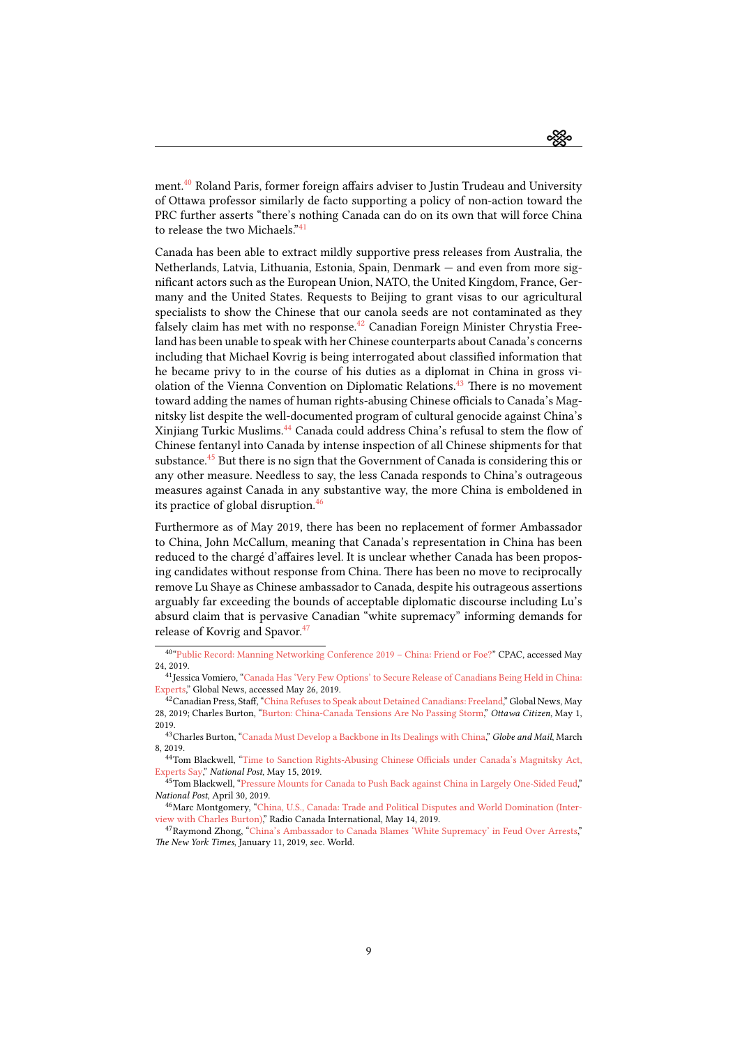ઌૺૹૢૺૺૺૺૺૺૺૺૺ

ment.[40](#page-8-0) Roland Paris, former foreign affairs adviser to Justin Trudeau and University of Ottawa professor similarly de facto supporting a policy of non-action toward the PRC further asserts "there's nothing Canada can do on its own that will force China to release the two Michaels."<sup>[41](#page-8-1)</sup>

Canada has been able to extract mildly supportive press releases from Australia, the Netherlands, Latvia, Lithuania, Estonia, Spain, Denmark — and even from more significant actors such as the European Union, NATO, the United Kingdom, France, Germany and the United States. Requests to Beijing to grant visas to our agricultural specialists to show the Chinese that our canola seeds are not contaminated as they falsely claim has met with no response.<sup>[42](#page-8-2)</sup> Canadian Foreign Minister Chrystia Freeland has been unable to speak with her Chinese counterparts about Canada's concerns including that Michael Kovrig is being interrogated about classified information that he became privy to in the course of his duties as a diplomat in China in gross vi-olation of the Vienna Convention on Diplomatic Relations.<sup>[43](#page-8-3)</sup> There is no movement toward adding the names of human rights-abusing Chinese officials to Canada's Magnitsky list despite the well-documented program of cultural genocide against China's Xinjiang Turkic Muslims.<sup>[44](#page-8-4)</sup> Canada could address China's refusal to stem the flow of Chinese fentanyl into Canada by intense inspection of all Chinese shipments for that substance.<sup>[45](#page-8-5)</sup> But there is no sign that the Government of Canada is considering this or any other measure. Needless to say, the less Canada responds to China's outrageous measures against Canada in any substantive way, the more China is emboldened in its practice of global disruption.<sup>[46](#page-8-6)</sup>

Furthermore as of May 2019, there has been no replacement of former Ambassador to China, John McCallum, meaning that Canada's representation in China has been reduced to the chargé d'affaires level. It is unclear whether Canada has been proposing candidates without response from China. There has been no move to reciprocally remove Lu Shaye as Chinese ambassador to Canada, despite his outrageous assertions arguably far exceeding the bounds of acceptable diplomatic discourse including Lu's absurd claim that is pervasive Canadian "white supremacy" informing demands for release of Kovrig and Spavor.<sup>[47](#page-8-7)</sup>

<span id="page-8-0"></span><sup>40</sup> ["Public Record: Manning Networking Conference 2019 – China: Friend or Foe?](http://www.cpac.ca/en/programs/public-record/episodes/65964784)" CPAC, accessed May 24, 2019.

<span id="page-8-1"></span><sup>&</sup>lt;sup>41</sup> Jessica Vomiero, ["Canada Has 'Very Few Options' to Secure Release of Canadians Being Held in China:](https://globalnews.ca/news/5291920/canada-release-canadians-held-in-china-kovrig-spavor/) [Experts](https://globalnews.ca/news/5291920/canada-release-canadians-held-in-china-kovrig-spavor/)," Global News, accessed May 26, 2019.

<span id="page-8-2"></span> $^{42}$ CanadianPress, Staff, "[China Refuses to Speak about Detained Canadians: Freeland,](https://globalnews.ca/news/5325752/china-detained-canadians-chrystia-freeland-ambassador/)" Global News, May 28, 2019; Charles Burton, ["Burton: China-Canada Tensions Are No Passing Storm](https://ottawacitizen.com/opinion/columnists/burton-china-canada-tensions-are-no-passing-storm)," Ottawa Citizen, May 1, 2019.

<span id="page-8-3"></span><sup>&</sup>lt;sup>43</sup>CharlesBurton, "[Canada Must Develop a Backbone in Its Dealings with China,](https://www.theglobeandmail.com/opinion/article-canada-must-develop-a-backbone-in-its-dealings-with-china/)" Globe and Mail, March 8, 2019.

<span id="page-8-4"></span><sup>44</sup>Tom Blackwell,"[Time to Sanction Rights-Abusing Chinese Officials under Canada's Magnitsky Act,](https://nationalpost.com/news/time-to-sanction-rights-abusing-chinese-officials-under-canadas-magnitsky-act-experts-say) [Experts Say](https://nationalpost.com/news/time-to-sanction-rights-abusing-chinese-officials-under-canadas-magnitsky-act-experts-say)," National Post, May 15, 2019.

<span id="page-8-5"></span><sup>&</sup>lt;sup>45</sup>TomBlackwell, "[Pressure Mounts for Canada to Push Back against China in Largely One-Sided Feud,](https://nationalpost.com/news/politics/pressure-mounts-for-canada-to-push-back-against-china-in-largely-one-sided-feud)" National Post, April 30, 2019.

<span id="page-8-6"></span><sup>46</sup>Marc Montgomery, ["China, U.S., Canada: Trade and Political Disputes and World Domination \(Inter](http://www.rcinet.ca/en/2019/05/14/china-u-s-canada-trade-and-political-disputes-and-world-domination-interview/)[view with Charles Burton\)](http://www.rcinet.ca/en/2019/05/14/china-u-s-canada-trade-and-political-disputes-and-world-domination-interview/)," Radio Canada International, May 14, 2019.

<span id="page-8-7"></span><sup>47</sup>Raymond Zhong,"[China's Ambassador to Canada Blames 'White Supremacy' in Feud Over Arrests,](https://www.nytimes.com/2019/01/10/world/asia/china-ambassador-canada-white-supremacy.html)" The New York Times, January 11, 2019, sec. World.